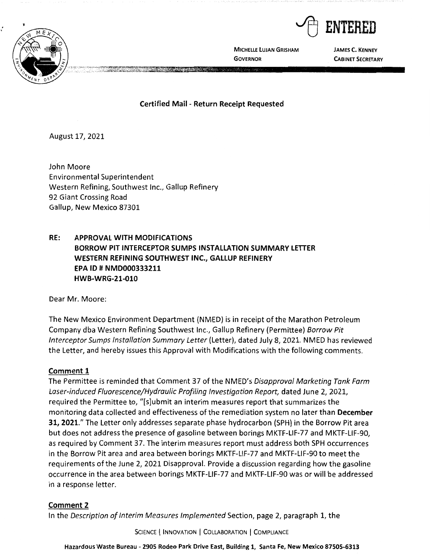



**MICHELLE LUJAN GRISHAM GOVERNOR** 

**JAMES C. KENNEY CABINET SECRETARY** 

**Certified Mail** - **Return Receipt Requested** 

August 17, 2021

John Moore Environmental Superintendent Western Refining, Southwest Inc., Gallup Refinery 92 Giant Crossing Road Gallup, New Mexico 87301

# **RE: APPROVAL WITH MODIFICATIONS BORROW PIT INTERCEPTOR SUMPS INSTALLATION SUMMARY LETTER WESTERN REFINING SOUTHWEST INC., GALLUP REFINERY EPA** ID# **NMD000333211 HWB-WRG-21-010**

Dear Mr. Moore:

The New Mexico Environment Department (NMED) is in receipt of the Marathon Petroleum Company dba Western Refining Southwest Inc., Gallup Refinery (Permittee) Borrow Pit Interceptor Sumps Installation Summary Letter (Letter), dated July 8, 2021. NMED has reviewed the Letter, and hereby issues this Approval with Modifications with the following comments.

### **Comment 1**

The Permittee is reminded that Comment 37 of the NMED's Disapproval Marketing Tank Farm Laser-induced Fluorescence/Hydraulic Profiling Investigation Report, dated June 2, 2021, required the Permittee to, "[s]ubmit an interim measures report that summarizes the monitoring data collected and effectiveness of the remediation system no later than **December 31, 2021."** The Letter only addresses separate phase hydrocarbon (SPH) in the Borrow Pit area but does not address the presence of gasoline between borings MKTF-LIF-77 and MKTF-LIF-90, as required by Comment 37. The interim measures report must address both SPH occurrences in the Borrow Pit area and area between borings MKTF-LIF-77 and MKTF-LIF-90 to meet the requirements of the June 2, 2021 Disapproval. Provide a discussion regarding how the gasoline occurrence in the area between borings MKTF-LIF-77 and MKTF-LIF-90 was or will be addressed in a response letter.

### **Comment 2**

In the Description of Interim Measures Implemented Section, page 2, paragraph 1, the

SCIENCE | INNOVATION | COLLABORATION | COMPLIANCE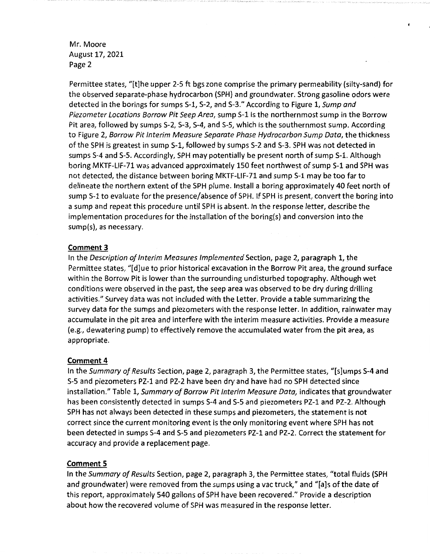## Mr. Moore August 17, 2021 Page 2

Permittee states, "[t]he upper 2-5 ft bgs zone comprise the primary permeability (silty-sand) for the observed separate-phase hydrocarbon (SPH) and groundwater. Strong gasoline odors were detected in the borings for sumps 5-1, S-2, and S-3." According to Figure 1, Sump and Piezometer Locations Borrow Pit Seep Area, sump 5-1 is the northernmost sump in the Borrow Pit area, followed by sumps 5-2, S-3, S-4, and S-5, which is the southernmost sump. According to Figure 2, Borrow Pit Interim Measure Separate Phase Hydrocarbon Sump Data, the thickness of the SPH is greatest in sump S-1, followed by sumps S-2 and S-3. SPH was not detected in sumps 5-4 and 5-5. Accordingly, SPH may potentially be present north of sump S-1. Although boring MKTF-LIF-71 was advanced approximately 150 feet northwest of sump 5-1 and SPH was not detected, the distance between boring MKTF-LIF-71 and sump S-1 may be too far to delineate the northern extent of the SPH plume. Install a boring approximately 40 feet north of sump S-1 to evaluate for the presence/absence of SPH. If SPH is present, convert the boring into a sump and repeat this procedure until SPH is absent. In the response letter, describe the implementation procedures for the installation of the boring(s) and conversion into the sump(s), as necessary.

### **Comment 3**

In the Description of Interim Measures Implemented Section, page 2, paragraph 1, the Permittee states, "[d]ue to prior historical excavation in the Borrow Pit area, the ground surface within the Borrow Pit is lower than the surrounding undisturbed topography. Although wet conditions were observed in the past, the seep area was observed to be dry during drilling activities." Survey data was not included with the Letter. Provide a table summarizing the survey data for the sumps and piezometers with the response letter. In addition, rainwater may accumulate in the pit area and interfere with the interim measure activities. Provide a measure (e.g., dewatering pump) to effectively remove the accumulated water from the pit area, as appropriate.

### **Comment 4**

In the Summary of Results Section, page 2, paragraph 3, the Permittee states, "[s]umps 5-4 and S-5 and piezometers PZ-1 and PZ-2 have been dry and have had no SPH detected since installation." Table 1, Summary of Borrow Pit Interim Measure Data, indicates that groundwater has been consistently detected in sumps S-4 and S-5 and piezometers PZ-1 and PZ-2. Although SPH has not always been detected in these sumps and piezometers, the statement is not correct since the current monitoring event is the only monitoring event where SPH has not been detected in sumps S-4 and S-5 and piezometers PZ-1 and PZ-2. Correct the statement for accuracy and provide a replacement page.

### **Comment 5**

In the Summary of Results Section, page 2, paragraph 3, the Permittee states, "total fluids (SPH and groundwater) were removed from the sumps using a vac truck," and "[a]s of the date of this report, approximately 540 gallons of SPH have been recovered." Provide a description about how the recovered volume of SPH was measured in the response letter.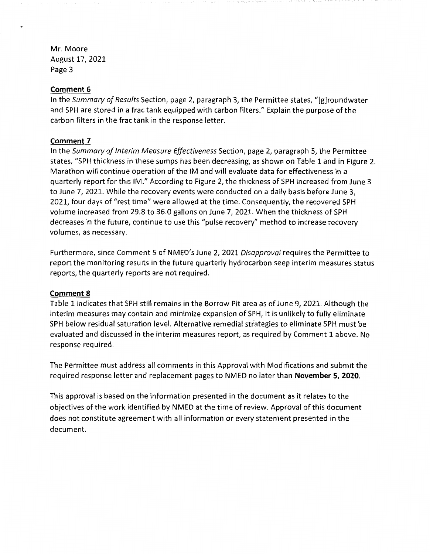Mr. Moore August 17, 2021 Page 3

#### **Comment 6**

,

In the *Summary of Results* Section, page 2, paragraph 3, the Permittee states, "[g]roundwater and SPH are stored in a frac tank equipped with carbon filters." Explain the purpose of the carbon filters in the frac tank in the response letter.

#### **Comment 7**

In the *Summary of Interim Measure Effectiveness* Section, page 2, paragraph 5, the Permittee states, "SPH thickness in these sumps has been decreasing, as shown on Table 1 and in Figure 2. Marathon will continue operation of the IM and will evaluate data for effectiveness in a quarterly report for this IM." According to Figure 2, the thickness of SPH increased from June 3 to June 7, 2021. While the recovery events were conducted on a daily basis before June 3, 2021, four days of "rest time" were allowed at the time. Consequently, the recovered SPH volume increased from 29.8 to 36.0 gallons on June 7, 2021. When the thickness of SPH decreases in the future, continue to use this "pulse recovery" method to increase recovery volumes, as necessary.

Furthermore, since Comment 5 of NMED's June 2, 2021 *Disapproval* requires the Permittee to report the monitoring results in the future quarterly hydrocarbon seep interim measures status reports, the quarterly reports are not required.

#### **Comment 8**

Table 1 indicates that SPH still remains in the Borrow Pit area as of June 9, 2021. Although the interim measures may contain and minimize expansion of SPH, it is unlikely to fully eliminate SPH below residual saturation level. Alternative remedial strategies to eliminate SPH must be evaluated and discussed in the interim measures report, as required by Comment 1 above. No response required.

The Permittee must address all comments in this Approval with Modifications and submit the required response letter and replacement pages to NMED no later than **November 5, 2020.** 

This approval is based on the information presented in the document as it relates to the objectives of the work identified by NMED at the time of review. Approval of this document does not constitute agreement with all information or every statement presented in the document.